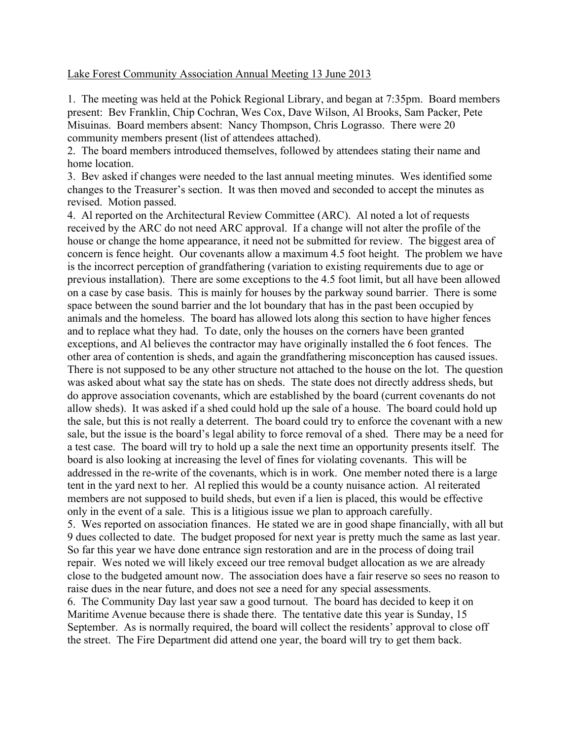## Lake Forest Community Association Annual Meeting 13 June 2013

1. The meeting was held at the Pohick Regional Library, and began at 7:35pm. Board members present: Bev Franklin, Chip Cochran, Wes Cox, Dave Wilson, Al Brooks, Sam Packer, Pete Misuinas. Board members absent: Nancy Thompson, Chris Lograsso. There were 20 community members present (list of attendees attached).

2. The board members introduced themselves, followed by attendees stating their name and home location.

3. Bev asked if changes were needed to the last annual meeting minutes. Wes identified some changes to the Treasurer's section. It was then moved and seconded to accept the minutes as revised. Motion passed.

4. Al reported on the Architectural Review Committee (ARC). Al noted a lot of requests received by the ARC do not need ARC approval. If a change will not alter the profile of the house or change the home appearance, it need not be submitted for review. The biggest area of concern is fence height. Our covenants allow a maximum 4.5 foot height. The problem we have is the incorrect perception of grandfathering (variation to existing requirements due to age or previous installation). There are some exceptions to the 4.5 foot limit, but all have been allowed on a case by case basis. This is mainly for houses by the parkway sound barrier. There is some space between the sound barrier and the lot boundary that has in the past been occupied by animals and the homeless. The board has allowed lots along this section to have higher fences and to replace what they had. To date, only the houses on the corners have been granted exceptions, and Al believes the contractor may have originally installed the 6 foot fences. The other area of contention is sheds, and again the grandfathering misconception has caused issues. There is not supposed to be any other structure not attached to the house on the lot. The question was asked about what say the state has on sheds. The state does not directly address sheds, but do approve association covenants, which are established by the board (current covenants do not allow sheds). It was asked if a shed could hold up the sale of a house. The board could hold up the sale, but this is not really a deterrent. The board could try to enforce the covenant with a new sale, but the issue is the board's legal ability to force removal of a shed. There may be a need for a test case. The board will try to hold up a sale the next time an opportunity presents itself. The board is also looking at increasing the level of fines for violating covenants. This will be addressed in the re-write of the covenants, which is in work. One member noted there is a large tent in the yard next to her. Al replied this would be a county nuisance action. Al reiterated members are not supposed to build sheds, but even if a lien is placed, this would be effective only in the event of a sale. This is a litigious issue we plan to approach carefully. 5. Wes reported on association finances. He stated we are in good shape financially, with all but 9 dues collected to date. The budget proposed for next year is pretty much the same as last year. So far this year we have done entrance sign restoration and are in the process of doing trail repair. Wes noted we will likely exceed our tree removal budget allocation as we are already close to the budgeted amount now. The association does have a fair reserve so sees no reason to

raise dues in the near future, and does not see a need for any special assessments. 6. The Community Day last year saw a good turnout. The board has decided to keep it on Maritime Avenue because there is shade there. The tentative date this year is Sunday, 15 September. As is normally required, the board will collect the residents' approval to close off the street. The Fire Department did attend one year, the board will try to get them back.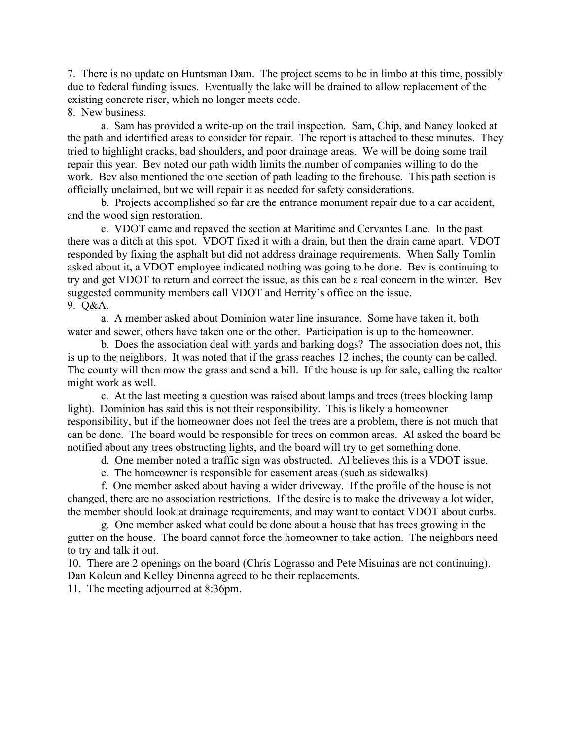7. There is no update on Huntsman Dam. The project seems to be in limbo at this time, possibly due to federal funding issues. Eventually the lake will be drained to allow replacement of the existing concrete riser, which no longer meets code.

8. New business.

 a. Sam has provided a write-up on the trail inspection. Sam, Chip, and Nancy looked at the path and identified areas to consider for repair. The report is attached to these minutes. They tried to highlight cracks, bad shoulders, and poor drainage areas. We will be doing some trail repair this year. Bev noted our path width limits the number of companies willing to do the work. Bev also mentioned the one section of path leading to the firehouse. This path section is officially unclaimed, but we will repair it as needed for safety considerations.

 b. Projects accomplished so far are the entrance monument repair due to a car accident, and the wood sign restoration.

 c. VDOT came and repaved the section at Maritime and Cervantes Lane. In the past there was a ditch at this spot. VDOT fixed it with a drain, but then the drain came apart. VDOT responded by fixing the asphalt but did not address drainage requirements. When Sally Tomlin asked about it, a VDOT employee indicated nothing was going to be done. Bev is continuing to try and get VDOT to return and correct the issue, as this can be a real concern in the winter. Bev suggested community members call VDOT and Herrity's office on the issue. 9. Q&A.

 a. A member asked about Dominion water line insurance. Some have taken it, both water and sewer, others have taken one or the other. Participation is up to the homeowner.

 b. Does the association deal with yards and barking dogs? The association does not, this is up to the neighbors. It was noted that if the grass reaches 12 inches, the county can be called. The county will then mow the grass and send a bill. If the house is up for sale, calling the realtor might work as well.

 c. At the last meeting a question was raised about lamps and trees (trees blocking lamp light). Dominion has said this is not their responsibility. This is likely a homeowner responsibility, but if the homeowner does not feel the trees are a problem, there is not much that can be done. The board would be responsible for trees on common areas. Al asked the board be notified about any trees obstructing lights, and the board will try to get something done.

d. One member noted a traffic sign was obstructed. Al believes this is a VDOT issue.

e. The homeowner is responsible for easement areas (such as sidewalks).

 f. One member asked about having a wider driveway. If the profile of the house is not changed, there are no association restrictions. If the desire is to make the driveway a lot wider, the member should look at drainage requirements, and may want to contact VDOT about curbs.

 g. One member asked what could be done about a house that has trees growing in the gutter on the house. The board cannot force the homeowner to take action. The neighbors need to try and talk it out.

10. There are 2 openings on the board (Chris Lograsso and Pete Misuinas are not continuing). Dan Kolcun and Kelley Dinenna agreed to be their replacements.

11. The meeting adjourned at 8:36pm.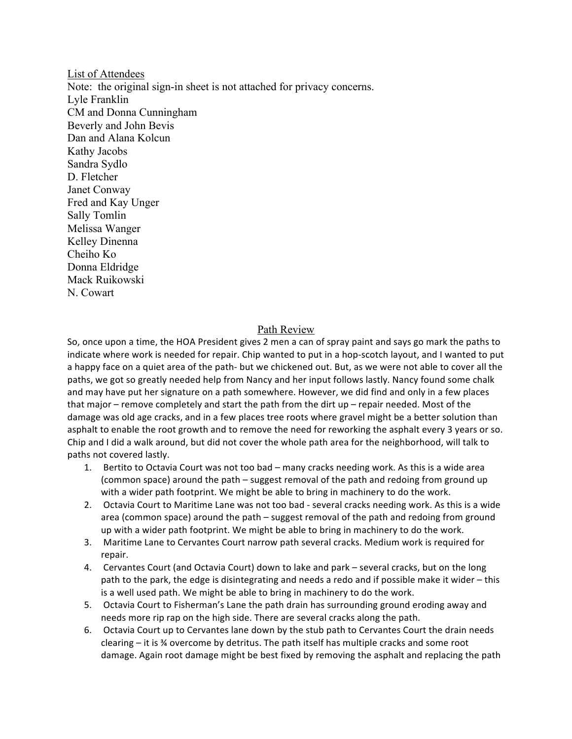List of Attendees Note: the original sign-in sheet is not attached for privacy concerns. Lyle Franklin CM and Donna Cunningham Beverly and John Bevis Dan and Alana Kolcun Kathy Jacobs Sandra Sydlo D. Fletcher Janet Conway Fred and Kay Unger Sally Tomlin Melissa Wanger Kelley Dinenna Cheiho Ko Donna Eldridge Mack Ruikowski N. Cowart

## Path Review

So, once upon a time, the HOA President gives 2 men a can of spray paint and says go mark the paths to indicate where work is needed for repair. Chip wanted to put in a hop-scotch layout, and I wanted to put a happy face on a quiet area of the path- but we chickened out. But, as we were not able to cover all the paths, we got so greatly needed help from Nancy and her input follows lastly. Nancy found some chalk and may have put her signature on a path somewhere. However, we did find and only in a few places that major – remove completely and start the path from the dirt up – repair needed. Most of the damage was old age cracks, and in a few places tree roots where gravel might be a better solution than asphalt to enable the root growth and to remove the need for reworking the asphalt every 3 years or so. Chip and I did a walk around, but did not cover the whole path area for the neighborhood, will talk to paths not covered lastly.

- 1. Bertito to Octavia Court was not too bad many cracks needing work. As this is a wide area (common space) around the path – suggest removal of the path and redoing from ground up with a wider path footprint. We might be able to bring in machinery to do the work.
- 2. Octavia Court to Maritime Lane was not too bad several cracks needing work. As this is a wide area (common space) around the path – suggest removal of the path and redoing from ground up with a wider path footprint. We might be able to bring in machinery to do the work.
- 3. Maritime Lane to Cervantes Court narrow path several cracks. Medium work is required for repair.
- 4. Cervantes Court (and Octavia Court) down to lake and park several cracks, but on the long path to the park, the edge is disintegrating and needs a redo and if possible make it wider – this is a well used path. We might be able to bring in machinery to do the work.
- 5. Octavia Court to Fisherman's Lane the path drain has surrounding ground eroding away and needs more rip rap on the high side. There are several cracks along the path.
- 6. Octavia Court up to Cervantes lane down by the stub path to Cervantes Court the drain needs clearing  $-$  it is  $\frac{3}{4}$  overcome by detritus. The path itself has multiple cracks and some root damage. Again root damage might be best fixed by removing the asphalt and replacing the path